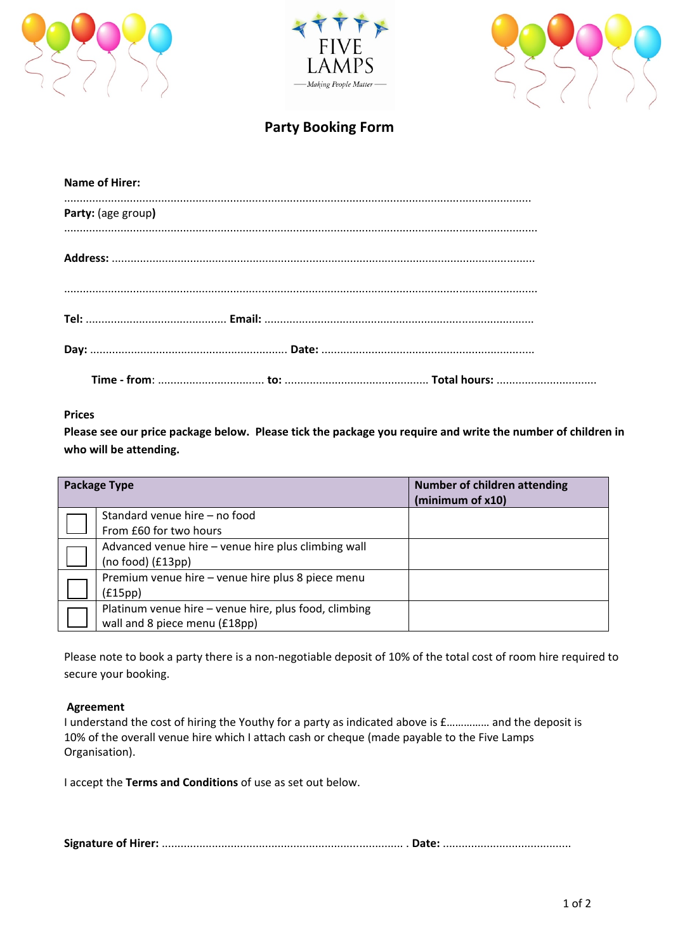





# **Party Booking Form**

| <b>Name of Hirer:</b> |  |
|-----------------------|--|
| Party: (age group)    |  |
|                       |  |
|                       |  |
|                       |  |
|                       |  |
|                       |  |

## **Prices**

**Please see our price package below. Please tick the package you require and write the number of children in who will be attending.** 

| <b>Package Type</b> |                                                       | <b>Number of children attending</b><br>(minimum of x10) |
|---------------------|-------------------------------------------------------|---------------------------------------------------------|
|                     | Standard venue hire – no food                         |                                                         |
|                     | From £60 for two hours                                |                                                         |
|                     | Advanced venue hire - venue hire plus climbing wall   |                                                         |
|                     | (no food) (£13pp)                                     |                                                         |
|                     | Premium venue hire - venue hire plus 8 piece menu     |                                                         |
|                     | (f15pp)                                               |                                                         |
|                     | Platinum venue hire - venue hire, plus food, climbing |                                                         |
|                     | wall and 8 piece menu (£18pp)                         |                                                         |

Please note to book a party there is a non‐negotiable deposit of 10% of the total cost of room hire required to secure your booking.

#### **Agreement**

I understand the cost of hiring the Youthy for a party as indicated above is £…………… and the deposit is 10% of the overall venue hire which I attach cash or cheque (made payable to the Five Lamps Organisation).

I accept the **Terms and Conditions** of use as set out below.

**Signature of Hirer:** ............................................................................. . **Date:** .........................................